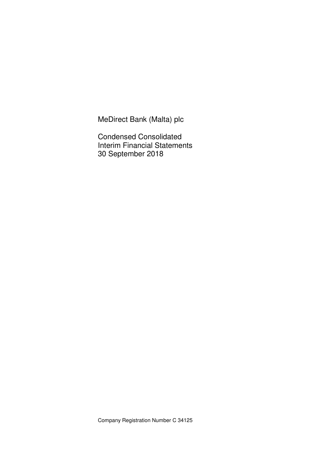MeDirect Bank (Malta) plc

Condensed Consolidated Interim Financial Statements 30 September 2018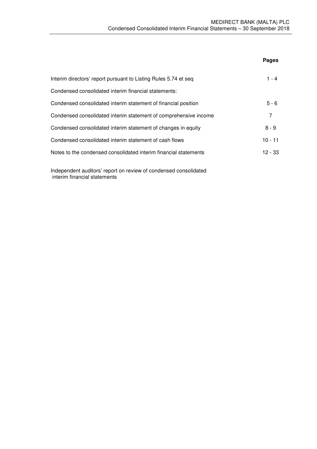|                                                                  | Pages     |
|------------------------------------------------------------------|-----------|
| Interim directors' report pursuant to Listing Rules 5.74 et seq  | 1 - 4     |
| Condensed consolidated interim financial statements:             |           |
| Condensed consolidated interim statement of financial position   | $5 - 6$   |
| Condensed consolidated interim statement of comprehensive income | 7         |
| Condensed consolidated interim statement of changes in equity    | $8 - 9$   |
| Condensed consolidated interim statement of cash flows           | $10 - 11$ |
| Notes to the condensed consolidated interim financial statements | $12 - 33$ |
|                                                                  |           |

Independent auditors' report on review of condensed consolidated interim financial statements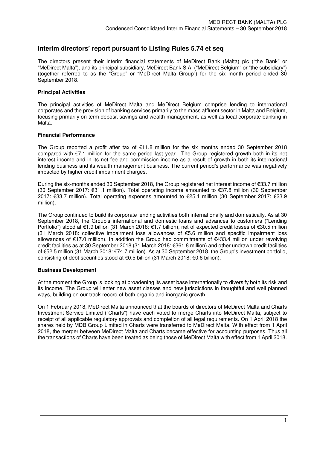## **Interim directors' report pursuant to Listing Rules 5.74 et seq**

The directors present their interim financial statements of MeDirect Bank (Malta) plc ("the Bank" or "MeDirect Malta"), and its principal subsidiary, MeDirect Bank S.A. ("MeDirect Belgium" or "the subsidiary") (together referred to as the "Group" or "MeDirect Malta Group") for the six month period ended 30 September 2018.

## **Principal Activities**

The principal activities of MeDirect Malta and MeDirect Belgium comprise lending to international corporates and the provision of banking services primarily to the mass affluent sector in Malta and Belgium, focusing primarily on term deposit savings and wealth management, as well as local corporate banking in Malta.

### **Financial Performance**

The Group reported a profit after tax of  $\epsilon$ 11.8 million for the six months ended 30 September 2018 compared with €7.1 million for the same period last year. The Group registered growth both in its net interest income and in its net fee and commission income as a result of growth in both its international lending business and its wealth management business. The current period's performance was negatively impacted by higher credit impairment charges.

During the six-months ended 30 September 2018, the Group registered net interest income of €33.7 million (30 September 2017: €31.1 million). Total operating income amounted to €37.8 million (30 September 2017: €33.7 million). Total operating expenses amounted to €25.1 million (30 September 2017: €23.9 million).

The Group continued to build its corporate lending activities both internationally and domestically. As at 30 September 2018, the Group's international and domestic loans and advances to customers ("Lending Portfolio") stood at €1.9 billion (31 March 2018: €1.7 billion), net of expected credit losses of €30.5 million (31 March 2018: collective impairment loss allowances of €5.6 million and specific impairment loss allowances of €17.0 million). In addition the Group had commitments of €433.4 million under revolving credit facilities as at 30 September 2018 (31 March 2018: €361.8 million) and other undrawn credit facilities of €52.5 million (31 March 2018: €74.7 million). As at 30 September 2018, the Group's investment portfolio, consisting of debt securities stood at €0.5 billion (31 March 2018: €0.6 billion).

### **Business Development**

At the moment the Group is looking at broadening its asset base internationally to diversify both its risk and its income. The Group will enter new asset classes and new jurisdictions in thoughtful and well planned ways, building on our track record of both organic and inorganic growth.

On 1 February 2018, MeDirect Malta announced that the boards of directors of MeDirect Malta and Charts Investment Service Limited ("Charts") have each voted to merge Charts into MeDirect Malta, subject to receipt of all applicable regulatory approvals and completion of all legal requirements. On 1 April 2018 the shares held by MDB Group Limited in Charts were transferred to MeDirect Malta. With effect from 1 April 2018, the merger between MeDirect Malta and Charts became effective for accounting purposes. Thus all the transactions of Charts have been treated as being those of MeDirect Malta with effect from 1 April 2018.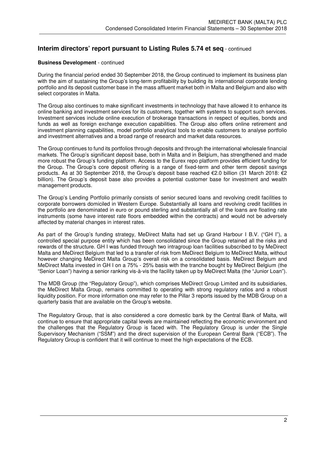# **Interim directors' report pursuant to Listing Rules 5.74 et seq** - continued

### **Business Development** - continued

During the financial period ended 30 September 2018, the Group continued to implement its business plan with the aim of sustaining the Group's long-term profitability by building its international corporate lending portfolio and its deposit customer base in the mass affluent market both in Malta and Belgium and also with select corporates in Malta.

The Group also continues to make significant investments in technology that have allowed it to enhance its online banking and investment services for its customers, together with systems to support such services. Investment services include online execution of brokerage transactions in respect of equities, bonds and funds as well as foreign exchange execution capabilities. The Group also offers online retirement and investment planning capabilities, model portfolio analytical tools to enable customers to analyse portfolio and investment alternatives and a broad range of research and market data resources.

The Group continues to fund its portfolios through deposits and through the international wholesale financial markets. The Group's significant deposit base, both in Malta and in Belgium, has strengthened and made more robust the Group's funding platform. Access to the Eurex repo platform provides efficient funding for the Group. The Group's core deposit offering is a range of fixed-term and other term deposit savings products. As at 30 September 2018, the Group's deposit base reached €2.0 billion (31 March 2018: €2 billion). The Group's deposit base also provides a potential customer base for investment and wealth management products.

The Group's Lending Portfolio primarily consists of senior secured loans and revolving credit facilities to corporate borrowers domiciled in Western Europe. Substantially all loans and revolving credit facilities in the portfolio are denominated in euro or pound sterling and substantially all of the loans are floating rate instruments (some have interest rate floors embedded within the contracts) and would not be adversely affected by material changes in interest rates.

As part of the Group's funding strategy, MeDirect Malta had set up Grand Harbour I B.V. ("GH I"), a controlled special purpose entity which has been consolidated since the Group retained all the risks and rewards of the structure. GH I was funded through two intragroup loan facilities subscribed to by MeDirect Malta and MeDirect Belgium that led to a transfer of risk from MeDirect Belgium to MeDirect Malta, without however changing MeDirect Malta Group's overall risk on a consolidated basis. MeDirect Belgium and MeDirect Malta invested in GH I on a 75% - 25% basis with the tranche bought by MeDirect Belgium (the "Senior Loan") having a senior ranking vis-à-vis the facility taken up by MeDirect Malta (the "Junior Loan").

The MDB Group (the "Regulatory Group"), which comprises MeDirect Group Limited and its subsidiaries, the MeDirect Malta Group, remains committed to operating with strong regulatory ratios and a robust liquidity position. For more information one may refer to the Pillar 3 reports issued by the MDB Group on a quarterly basis that are available on the Group's website.

The Regulatory Group, that is also considered a core domestic bank by the Central Bank of Malta, will continue to ensure that appropriate capital levels are maintained reflecting the economic environment and the challenges that the Regulatory Group is faced with. The Regulatory Group is under the Single Supervisory Mechanism ("SSM") and the direct supervision of the European Central Bank ("ECB"). The Regulatory Group is confident that it will continue to meet the high expectations of the ECB.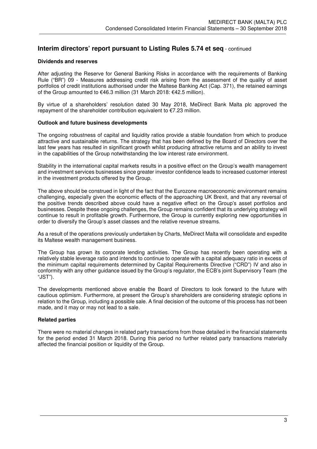## **Interim directors' report pursuant to Listing Rules 5.74 et seq** - continued

### **Dividends and reserves**

After adjusting the Reserve for General Banking Risks in accordance with the requirements of Banking Rule ("BR") 09 - Measures addressing credit risk arising from the assessment of the quality of asset portfolios of credit institutions authorised under the Maltese Banking Act (Cap. 371), the retained earnings of the Group amounted to €46.3 million (31 March 2018: €42.5 million).

By virtue of a shareholders' resolution dated 30 May 2018, MeDirect Bank Malta plc approved the repayment of the shareholder contribution equivalent to  $\epsilon$ 7.23 million.

#### **Outlook and future business developments**

The ongoing robustness of capital and liquidity ratios provide a stable foundation from which to produce attractive and sustainable returns. The strategy that has been defined by the Board of Directors over the last few years has resulted in significant growth whilst producing attractive returns and an ability to invest in the capabilities of the Group notwithstanding the low interest rate environment.

Stability in the international capital markets results in a positive effect on the Group's wealth management and investment services businesses since greater investor confidence leads to increased customer interest in the investment products offered by the Group.

The above should be construed in light of the fact that the Eurozone macroeconomic environment remains challenging, especially given the economic effects of the approaching UK Brexit, and that any reversal of the positive trends described above could have a negative effect on the Group's asset portfolios and businesses. Despite these ongoing challenges, the Group remains confident that its underlying strategy will continue to result in profitable growth. Furthermore, the Group is currently exploring new opportunities in order to diversify the Group's asset classes and the relative revenue streams.

As a result of the operations previously undertaken by Charts, MeDirect Malta will consolidate and expedite its Maltese wealth management business.

The Group has grown its corporate lending activities. The Group has recently been operating with a relatively stable leverage ratio and intends to continue to operate with a capital adequacy ratio in excess of the minimum capital requirements determined by Capital Requirements Directive ("CRD") IV and also in conformity with any other guidance issued by the Group's regulator, the ECB's joint Supervisory Team (the "JST").

The developments mentioned above enable the Board of Directors to look forward to the future with cautious optimism. Furthermore, at present the Group's shareholders are considering strategic options in relation to the Group, including a possible sale. A final decision of the outcome of this process has not been made, and it may or may not lead to a sale.

### **Related parties**

There were no material changes in related party transactions from those detailed in the financial statements for the period ended 31 March 2018. During this period no further related party transactions materially affected the financial position or liquidity of the Group.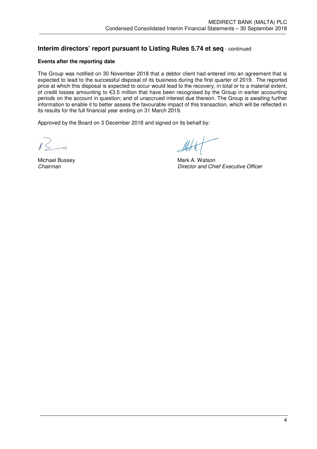# **Interim directors' report pursuant to Listing Rules 5.74 et seq** - continued

## **Events after the reporting date**

The Group was notified on 30 November 2018 that a debtor client had entered into an agreement that is expected to lead to the successful disposal of its business during the first quarter of 2019. The reported price at which this disposal is expected to occur would lead to the recovery, in total or to a material extent, of credit losses amounting to €3.5 million that have been recognised by the Group in earlier accounting periods on the account in question; and of unaccrued interest due thereon. The Group is awaiting further information to enable it to better assess the favourable impact of this transaction, which will be reflected in its results for the full financial year ending on 31 March 2019.

Approved by the Board on 3 December 2018 and signed on its behalf by:

Michael Bussey **Michael Bussey State A. Watson**<br>Chairman Chiliam Chairman *Chairman Director and Chief Executive Officer*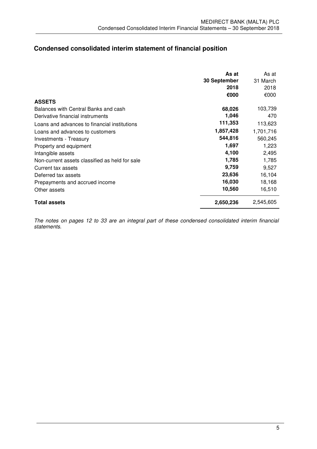# **Condensed consolidated interim statement of financial position**

|                                                | As at        | As at     |
|------------------------------------------------|--------------|-----------|
|                                                | 30 September | 31 March  |
|                                                | 2018         | 2018      |
|                                                | €000         | €000      |
| <b>ASSETS</b>                                  |              |           |
| Balances with Central Banks and cash           | 68,026       | 103,739   |
| Derivative financial instruments               | 1,046        | 470       |
| Loans and advances to financial institutions   | 111,353      | 113,623   |
| Loans and advances to customers                | 1,857,428    | 1,701,716 |
| Investments - Treasury                         | 544,816      | 560,245   |
| Property and equipment                         | 1,697        | 1,223     |
| Intangible assets                              | 4,100        | 2,495     |
| Non-current assets classified as held for sale | 1,785        | 1,785     |
| Current tax assets                             | 9,759        | 9,527     |
| Deferred tax assets                            | 23,636       | 16,104    |
| Prepayments and accrued income                 | 16,030       | 18,168    |
| Other assets                                   | 10,560       | 16,510    |
| <b>Total assets</b>                            | 2,650,236    | 2,545,605 |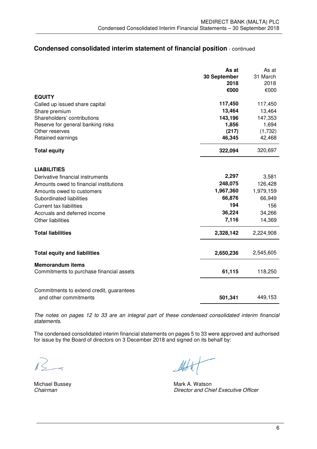## **Condensed consolidated interim statement of financial position** - continued

|                                          | As at        | As at     |
|------------------------------------------|--------------|-----------|
|                                          | 30 September | 31 March  |
|                                          | 2018         | 2018      |
|                                          | €000         | €000      |
| <b>EQUITY</b>                            |              |           |
| Called up issued share capital           | 117,450      | 117,450   |
| Share premium                            | 13,464       | 13,464    |
| Shareholders' contributions              | 143,196      | 147,353   |
| Reserve for general banking risks        | 1,856        | 1,694     |
| Other reserves                           | (217)        | (1,732)   |
| Retained earnings                        | 46,345       | 42,468    |
| <b>Total equity</b>                      | 322,094      | 320,697   |
| <b>LIABILITIES</b>                       |              |           |
| Derivative financial instruments         | 2,297        | 3,581     |
| Amounts owed to financial institutions   | 248,075      | 126,428   |
| Amounts owed to customers                | 1,967,360    | 1,979,159 |
| Subordinated liabilities                 | 66,876       | 66,949    |
| <b>Current tax liabilities</b>           | 194          | 156       |
| Accruals and deferred income             | 36,224       | 34,266    |
| <b>Other liabilities</b>                 | 7,116        | 14,369    |
|                                          |              |           |
| <b>Total liabilities</b>                 | 2,328,142    | 2,224,908 |
| <b>Total equity and liabilities</b>      | 2,650,236    | 2,545,605 |
| <b>Memorandum items</b>                  |              |           |
| Commitments to purchase financial assets | 61,115       | 118,250   |
| Commitments to extend credit, guarantees |              |           |
| and other commitments                    | 501,341      | 449,153   |

*The notes on pages 12 to 33 are an integral part of these condensed consolidated interim financial statements.* 

The condensed consolidated interim financial statements on pages 5 to 33 were approved and authorised for issue by the Board of directors on 3 December 2018 and signed on its behalf by:

 $1/3$ 

Michael Bussey **Michael Bussey State A. Watson**<br>Chairman Chinage Chairman **Director and Chief Executive Officer**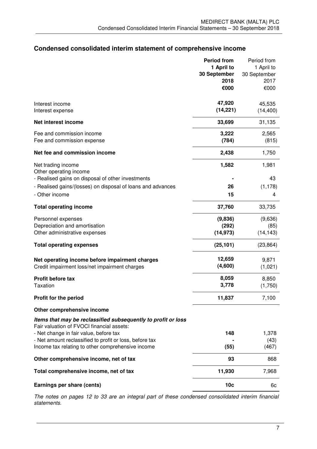# **Condensed consolidated interim statement of comprehensive income**

|                                                                                                            | <b>Period from</b> | Period from  |
|------------------------------------------------------------------------------------------------------------|--------------------|--------------|
|                                                                                                            | 1 April to         | 1 April to   |
|                                                                                                            | 30 September       | 30 September |
|                                                                                                            | 2018               | 2017         |
|                                                                                                            | €000               | €000         |
| Interest income                                                                                            | 47,920             | 45,535       |
| Interest expense                                                                                           | (14, 221)          | (14, 400)    |
| <b>Net interest income</b>                                                                                 | 33,699             | 31,135       |
| Fee and commission income                                                                                  | 3,222              | 2,565        |
| Fee and commission expense                                                                                 | (784)              | (815)        |
| Net fee and commission income                                                                              | 2,438              | 1,750        |
| Net trading income                                                                                         | 1,582              | 1,981        |
| Other operating income                                                                                     |                    |              |
| - Realised gains on disposal of other investments                                                          |                    | 43           |
| - Realised gains/(losses) on disposal of loans and advances                                                | 26                 | (1, 178)     |
| - Other income                                                                                             | 15                 | 4            |
| <b>Total operating income</b>                                                                              | 37,760             | 33,735       |
| Personnel expenses                                                                                         | (9,836)            | (9,636)      |
| Depreciation and amortisation                                                                              | (292)              | (85)         |
| Other administrative expenses                                                                              | (14, 973)          | (14, 143)    |
| <b>Total operating expenses</b>                                                                            | (25, 101)          | (23, 864)    |
| Net operating income before impairment charges                                                             | 12,659             | 9,871        |
| Credit impairment loss/net impairment charges                                                              | (4,600)            | (1,021)      |
| Profit before tax                                                                                          | 8,059              | 8,850        |
| Taxation                                                                                                   | 3,778              | (1,750)      |
| Profit for the period                                                                                      | 11,837             | 7,100        |
| Other comprehensive income                                                                                 |                    |              |
| Items that may be reclassified subsequently to profit or loss<br>Fair valuation of FVOCI financial assets: |                    |              |
| - Net change in fair value, before tax                                                                     | 148                | 1,378        |
| - Net amount reclassified to profit or loss, before tax                                                    |                    | (43)         |
| Income tax relating to other comprehensive income                                                          | (55)               | (467)        |
| Other comprehensive income, net of tax                                                                     | 93                 | 868          |
| Total comprehensive income, net of tax                                                                     | 11,930             | 7,968        |
| Earnings per share (cents)                                                                                 | 10 <sub>c</sub>    | 6c           |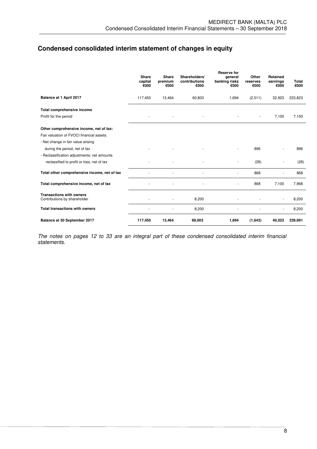# **Condensed consolidated interim statement of changes in equity**

|                                                                 | <b>Share</b><br>capital<br>€000 | Share<br>premium<br>€000 | Shareholders'<br>contributions<br>€000 | <b>Reserve for</b><br>qeneral<br>banking risks<br>€000 | Other<br>reserves<br>€000 | <b>Retained</b><br>earnings<br>€000 | Total<br>€000 |
|-----------------------------------------------------------------|---------------------------------|--------------------------|----------------------------------------|--------------------------------------------------------|---------------------------|-------------------------------------|---------------|
| Balance at 1 April 2017                                         | 117,450                         | 13,464                   | 60,803                                 | 1,694                                                  | (2,511)                   | 32,923                              | 223,823       |
| Total comprehensive income                                      |                                 |                          |                                        |                                                        |                           |                                     |               |
| Profit for the period                                           |                                 |                          |                                        |                                                        |                           | 7,100                               | 7,100         |
| Other comprehensive income, net of tax:                         |                                 |                          |                                        |                                                        |                           |                                     |               |
| Fair valuation of FVOCI financial assets:                       |                                 |                          |                                        |                                                        |                           |                                     |               |
| - Net change in fair value arising                              |                                 |                          |                                        |                                                        |                           |                                     |               |
| during the period, net of tax                                   |                                 |                          |                                        |                                                        | 896                       |                                     | 896           |
| - Reclassification adjustments: net amounts                     |                                 |                          |                                        |                                                        |                           |                                     |               |
| reclassified to profit or loss, net of tax                      |                                 |                          |                                        |                                                        | (28)                      |                                     | (28)          |
| Total other comprehensive income, net of tax                    |                                 |                          |                                        |                                                        | 868                       |                                     | 868           |
| Total comprehensive income, net of tax                          |                                 |                          |                                        |                                                        | 868                       | 7,100                               | 7,968         |
| <b>Transactions with owners</b><br>Contributions by shareholder |                                 |                          | 8,200                                  |                                                        |                           | $\sim$                              | 8,200         |
| <b>Total transactions with owners</b>                           |                                 |                          | 8,200                                  |                                                        |                           |                                     | 8,200         |
| Balance at 30 September 2017                                    | 117,450                         | 13,464                   | 69,003                                 | 1,694                                                  | (1,643)                   | 40,023                              | 239,991       |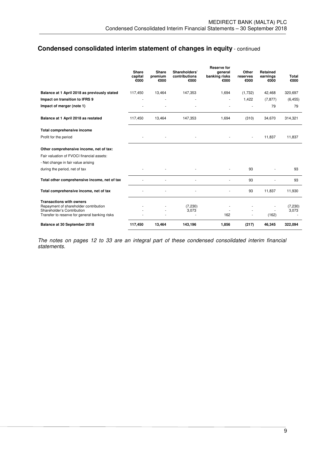# **Condensed consolidated interim statement of changes in equity** - continued

|                                                                     | <b>Share</b><br>capital<br>€000 | <b>Share</b><br>premium<br>€000 | Shareholders'<br>contributions<br>€000 | <b>Reserve for</b><br>qeneral<br>banking risks<br>€000 | Other<br>reserves<br>€000 | Retained<br>earnings<br>€000 | Total<br>€000     |
|---------------------------------------------------------------------|---------------------------------|---------------------------------|----------------------------------------|--------------------------------------------------------|---------------------------|------------------------------|-------------------|
| Balance at 1 April 2018 as previously stated                        | 117,450                         | 13,464                          | 147,353                                | 1,694                                                  | (1,732)                   | 42,468                       | 320,697           |
| Impact on transition to IFRS 9                                      |                                 |                                 |                                        |                                                        | 1,422                     | (7, 877)                     | (6, 455)          |
| Impact of merger (note 1)                                           |                                 |                                 |                                        |                                                        |                           | 79                           | 79                |
| Balance at 1 April 2018 as restated                                 | 117,450                         | 13,464                          | 147,353                                | 1,694                                                  | (310)                     | 34,670                       | 314,321           |
| Total comprehensive income                                          |                                 |                                 |                                        |                                                        |                           |                              |                   |
| Profit for the period                                               |                                 |                                 |                                        |                                                        |                           | 11,837                       | 11,837            |
| Other comprehensive income, net of tax:                             |                                 |                                 |                                        |                                                        |                           |                              |                   |
| Fair valuation of FVOCI financial assets:                           |                                 |                                 |                                        |                                                        |                           |                              |                   |
| - Net change in fair value arising                                  |                                 |                                 |                                        |                                                        |                           |                              |                   |
| during the period, net of tax                                       |                                 |                                 |                                        |                                                        | 93                        |                              | 93                |
| Total other comprehensive income, net of tax                        |                                 |                                 |                                        |                                                        | 93                        |                              | 93                |
| Total comprehensive income, net of tax                              |                                 |                                 |                                        |                                                        | 93                        | 11,837                       | 11,930            |
| <b>Transactions with owners</b>                                     |                                 |                                 |                                        |                                                        |                           |                              |                   |
| Repayment of shareholder contribution<br>Shareholder's Contribution |                                 |                                 | (7, 230)<br>3,073                      |                                                        |                           |                              | (7, 230)<br>3,073 |
| Transfer to reserve for general banking risks                       |                                 |                                 |                                        | 162                                                    | ä,                        | (162)                        |                   |
| Balance at 30 September 2018                                        | 117,450                         | 13,464                          | 143,196                                | 1,856                                                  | (217)                     | 46,345                       | 322,094           |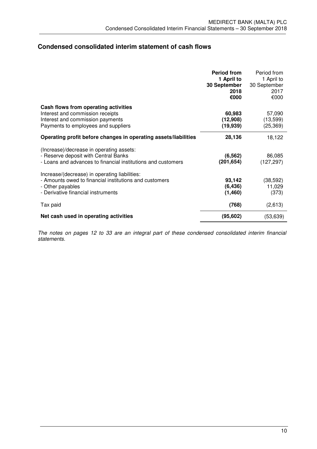# **Condensed consolidated interim statement of cash flows**

|                                                                                                                                                                   | <b>Period from</b><br>1 April to<br>30 September<br>2018<br>€000 | Period from<br>1 April to<br>30 September<br>2017<br>€000 |
|-------------------------------------------------------------------------------------------------------------------------------------------------------------------|------------------------------------------------------------------|-----------------------------------------------------------|
| Cash flows from operating activities<br>Interest and commission receipts<br>Interest and commission payments<br>Payments to employees and suppliers               | 60,983<br>(12,908)<br>(19, 939)                                  | 57,090<br>(13,599)<br>(25, 369)                           |
| Operating profit before changes in operating assets/liabilities                                                                                                   | 28,136                                                           | 18,122                                                    |
| (Increase)/decrease in operating assets:<br>- Reserve deposit with Central Banks<br>- Loans and advances to financial institutions and customers                  | (6, 562)<br>(201, 654)                                           | 86,085<br>(127, 297)                                      |
| Increase/(decrease) in operating liabilities:<br>- Amounts owed to financial institutions and customers<br>- Other payables<br>- Derivative financial instruments | 93,142<br>(6, 436)<br>(1,460)                                    | (38, 592)<br>11,029<br>(373)                              |
| Tax paid                                                                                                                                                          | (768)                                                            | (2,613)                                                   |
| Net cash used in operating activities                                                                                                                             | (95, 602)                                                        | (53, 639)                                                 |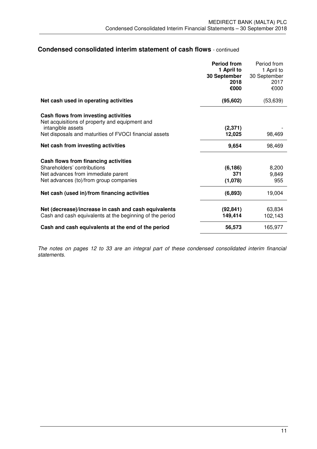## **Condensed consolidated interim statement of cash flows** - continued

|                                                                                                                                                                       | <b>Period from</b><br>1 April to<br>30 September<br>2018<br>€000 | Period from<br>1 April to<br>30 September<br>2017<br>€000 |
|-----------------------------------------------------------------------------------------------------------------------------------------------------------------------|------------------------------------------------------------------|-----------------------------------------------------------|
| Net cash used in operating activities                                                                                                                                 | (95, 602)                                                        | (53, 639)                                                 |
| Cash flows from investing activities<br>Net acquisitions of property and equipment and<br>intangible assets<br>Net disposals and maturities of FVOCI financial assets | (2, 371)<br>12,025                                               | 98,469                                                    |
| Net cash from investing activities                                                                                                                                    | 9,654                                                            | 98,469                                                    |
| Cash flows from financing activities<br>Shareholders' contributions<br>Net advances from immediate parent<br>Net advances (to)/from group companies                   | (6, 186)<br>371<br>(1,078)                                       | 8,200<br>9,849<br>955                                     |
| Net cash (used in)/from financing activities                                                                                                                          | (6,893)                                                          | 19,004                                                    |
| Net (decrease)/increase in cash and cash equivalents<br>Cash and cash equivalents at the beginning of the period                                                      | (92, 841)<br>149,414                                             | 63,834<br>102,143                                         |
| Cash and cash equivalents at the end of the period                                                                                                                    | 56,573                                                           | 165,977                                                   |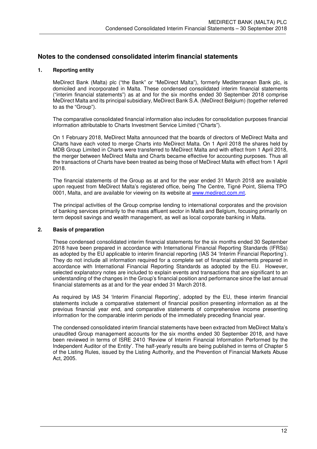## **Notes to the condensed consolidated interim financial statements**

## **1. Reporting entity**

MeDirect Bank (Malta) plc ("the Bank" or "MeDirect Malta"), formerly Mediterranean Bank plc, is domiciled and incorporated in Malta. These condensed consolidated interim financial statements ("interim financial statements") as at and for the six months ended 30 September 2018 comprise MeDirect Malta and its principal subsidiary, MeDirect Bank S.A. (MeDirect Belgium) (together referred to as the "Group").

The comparative consolidated financial information also includes for consolidation purposes financial information attributable to Charts Investment Service Limited ("Charts").

On 1 February 2018, MeDirect Malta announced that the boards of directors of MeDirect Malta and Charts have each voted to merge Charts into MeDirect Malta. On 1 April 2018 the shares held by MDB Group Limited in Charts were transferred to MeDirect Malta and with effect from 1 April 2018, the merger between MeDirect Malta and Charts became effective for accounting purposes. Thus all the transactions of Charts have been treated as being those of MeDirect Malta with effect from 1 April 2018.

The financial statements of the Group as at and for the year ended 31 March 2018 are available upon request from MeDirect Malta's registered office, being The Centre, Tigné Point, Sliema TPO 0001, Malta, and are available for viewing on its website at www.medirect.com.mt.

The principal activities of the Group comprise lending to international corporates and the provision of banking services primarily to the mass affluent sector in Malta and Belgium, focusing primarily on term deposit savings and wealth management, as well as local corporate banking in Malta.

### **2. Basis of preparation**

These condensed consolidated interim financial statements for the six months ended 30 September 2018 have been prepared in accordance with International Financial Reporting Standards (IFRSs) as adopted by the EU applicable to interim financial reporting (IAS 34 'Interim Financial Reporting')*.*  They do not include all information required for a complete set of financial statements prepared in accordance with International Financial Reporting Standards as adopted by the EU. However, selected explanatory notes are included to explain events and transactions that are significant to an understanding of the changes in the Group's financial position and performance since the last annual financial statements as at and for the year ended 31 March 2018.

As required by IAS 34 'Interim Financial Reporting', adopted by the EU, these interim financial statements include a comparative statement of financial position presenting information as at the previous financial year end, and comparative statements of comprehensive income presenting information for the comparable interim periods of the immediately preceding financial year.

The condensed consolidated interim financial statements have been extracted from MeDirect Malta's unaudited Group management accounts for the six months ended 30 September 2018, and have been reviewed in terms of ISRE 2410 'Review of Interim Financial Information Performed by the Independent Auditor of the Entity'. The half-yearly results are being published in terms of Chapter 5 of the Listing Rules, issued by the Listing Authority, and the Prevention of Financial Markets Abuse Act, 2005.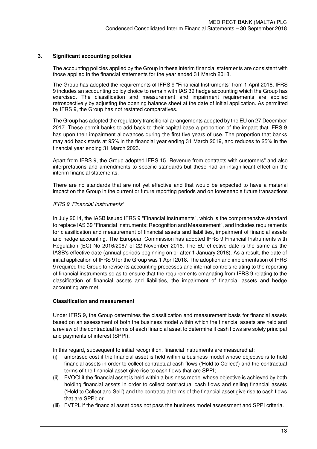## **3. Significant accounting policies**

The accounting policies applied by the Group in these interim financial statements are consistent with those applied in the financial statements for the year ended 31 March 2018.

The Group has adopted the requirements of IFRS 9 "Financial Instruments" from 1 April 2018. IFRS 9 includes an accounting policy choice to remain with IAS 39 hedge accounting which the Group has exercised. The classification and measurement and impairment requirements are applied retrospectively by adjusting the opening balance sheet at the date of initial application. As permitted by IFRS 9, the Group has not restated comparatives.

The Group has adopted the regulatory transitional arrangements adopted by the EU on 27 December 2017. These permit banks to add back to their capital base a proportion of the impact that IFRS 9 has upon their impairment allowances during the first five years of use. The proportion that banks may add back starts at 95% in the financial year ending 31 March 2019, and reduces to 25% in the financial year ending 31 March 2023.

Apart from IFRS 9, the Group adopted IFRS 15 "Revenue from contracts with customers" and also interpretations and amendments to specific standards but these had an insignificant effect on the interim financial statements.

There are no standards that are not yet effective and that would be expected to have a material impact on the Group in the current or future reporting periods and on foreseeable future transactions

#### *IFRS 9 'Financial Instruments'*

In July 2014, the IASB issued IFRS 9 "Financial Instruments", which is the comprehensive standard to replace IAS 39 "Financial Instruments: Recognition and Measurement", and includes requirements for classification and measurement of financial assets and liabilities, impairment of financial assets and hedge accounting. The European Commission has adopted IFRS 9 Financial Instruments with Regulation (EC) No 2016/2067 of 22 November 2016. The EU effective date is the same as the IASB's effective date (annual periods beginning on or after 1 January 2018). As a result, the date of initial application of IFRS 9 for the Group was 1 April 2018. The adoption and implementation of IFRS 9 required the Group to revise its accounting processes and internal controls relating to the reporting of financial instruments so as to ensure that the requirements emanating from IFRS 9 relating to the classification of financial assets and liabilities, the impairment of financial assets and hedge accounting are met.

## **Classification and measurement**

Under IFRS 9, the Group determines the classification and measurement basis for financial assets based on an assessment of both the business model within which the financial assets are held and a review of the contractual terms of each financial asset to determine if cash flows are solely principal and payments of interest (SPPI).

In this regard, subsequent to initial recognition, financial instruments are measured at:

- (i) amortised cost if the financial asset is held within a business model whose objective is to hold financial assets in order to collect contractual cash flows ('Hold to Collect') and the contractual terms of the financial asset give rise to cash flows that are SPPI;
- (ii) FVOCI if the financial asset is held within a business model whose objective is achieved by both holding financial assets in order to collect contractual cash flows and selling financial assets ('Hold to Collect and Sell') and the contractual terms of the financial asset give rise to cash flows that are SPPI; or
- (iii) FVTPL if the financial asset does not pass the business model assessment and SPPI criteria.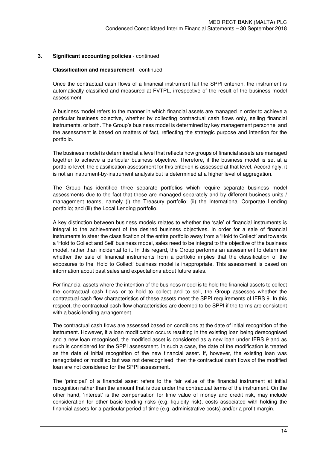#### **Classification and measurement** - continued

Once the contractual cash flows of a financial instrument fail the SPPI criterion, the instrument is automatically classified and measured at FVTPL, irrespective of the result of the business model assessment.

A business model refers to the manner in which financial assets are managed in order to achieve a particular business objective, whether by collecting contractual cash flows only, selling financial instruments, or both. The Group's business model is determined by key management personnel and the assessment is based on matters of fact, reflecting the strategic purpose and intention for the portfolio.

The business model is determined at a level that reflects how groups of financial assets are managed together to achieve a particular business objective. Therefore, if the business model is set at a portfolio level, the classification assessment for this criterion is assessed at that level. Accordingly, it is not an instrument-by-instrument analysis but is determined at a higher level of aggregation.

The Group has identified three separate portfolios which require separate business model assessments due to the fact that these are managed separately and by different business units / management teams, namely (i) the Treasury portfolio; (ii) the International Corporate Lending portfolio; and (iii) the Local Lending portfolio.

A key distinction between business models relates to whether the 'sale' of financial instruments is integral to the achievement of the desired business objectives. In order for a sale of financial instruments to steer the classification of the entire portfolio away from a 'Hold to Collect' and towards a 'Hold to Collect and Sell' business model, sales need to be integral to the objective of the business model, rather than incidental to it. In this regard, the Group performs an assessment to determine whether the sale of financial instruments from a portfolio implies that the classification of the exposures to the 'Hold to Collect' business model is inappropriate. This assessment is based on information about past sales and expectations about future sales.

For financial assets where the intention of the business model is to hold the financial assets to collect the contractual cash flows or to hold to collect and to sell, the Group assesses whether the contractual cash flow characteristics of these assets meet the SPPI requirements of IFRS 9. In this respect, the contractual cash flow characteristics are deemed to be SPPI if the terms are consistent with a basic lending arrangement.

The contractual cash flows are assessed based on conditions at the date of initial recognition of the instrument. However, if a loan modification occurs resulting in the existing loan being derecognised and a new loan recognised, the modified asset is considered as a new loan under IFRS 9 and as such is considered for the SPPI assessment. In such a case, the date of the modification is treated as the date of initial recognition of the new financial asset. If, however, the existing loan was renegotiated or modified but was not derecognised, then the contractual cash flows of the modified loan are not considered for the SPPI assessment.

The 'principal' of a financial asset refers to the fair value of the financial instrument at initial recognition rather than the amount that is due under the contractual terms of the instrument. On the other hand, 'interest' is the compensation for time value of money and credit risk, may include consideration for other basic lending risks (e.g. liquidity risk), costs associated with holding the financial assets for a particular period of time (e.g. administrative costs) and/or a profit margin.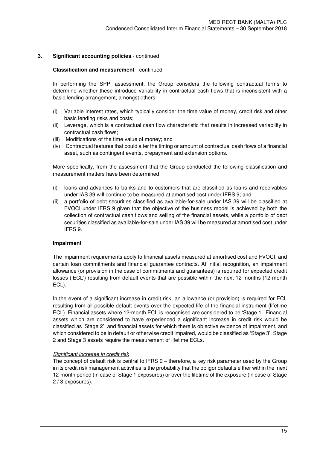### **Classification and measurement** - continued

In performing the SPPI assessment, the Group considers the following contractual terms to determine whether these introduce variability in contractual cash flows that is inconsistent with a basic lending arrangement, amongst others:

- (i) Variable interest rates, which typically consider the time value of money, credit risk and other basic lending risks and costs;
- (ii) Leverage, which is a contractual cash flow characteristic that results in increased variability in contractual cash flows;
- (iii) Modifications of the time value of money; and
- (iv) Contractual features that could alter the timing or amount of contractual cash flows of a financial asset, such as contingent events, prepayment and extension options.

More specifically, from the assessment that the Group conducted the following classification and measurement matters have been determined:

- (i) loans and advances to banks and to customers that are classified as loans and receivables under IAS 39 will continue to be measured at amortised cost under IFRS 9; and
- (ii) a portfolio of debt securities classified as available-for-sale under IAS 39 will be classified at FVOCI under IFRS 9 given that the objective of the business model is achieved by both the collection of contractual cash flows and selling of the financial assets, while a portfolio of debt securities classified as available-for-sale under IAS 39 will be measured at amortised cost under IFRS 9.

### **Impairment**

 The impairment requirements apply to financial assets measured at amortised cost and FVOCI, and certain loan commitments and financial guarantee contracts. At initial recognition, an impairment allowance (or provision in the case of commitments and guarantees) is required for expected credit losses ('ECL') resulting from default events that are possible within the next 12 months (12-month ECL).

 In the event of a significant increase in credit risk, an allowance (or provision) is required for ECL resulting from all possible default events over the expected life of the financial instrument (lifetime ECL). Financial assets where 12-month ECL is recognised are considered to be 'Stage 1'. Financial assets which are considered to have experienced a significant increase in credit risk would be classified as 'Stage 2'; and financial assets for which there is objective evidence of impairment, and which considered to be in default or otherwise credit impaired, would be classified as 'Stage 3'. Stage 2 and Stage 3 assets require the measurement of lifetime ECLs.

### *Significant increase in credit risk*

The concept of default risk is central to IFRS 9 – therefore, a key risk parameter used by the Group in its credit risk management activities is the probability that the obligor defaults either within the next 12-month period (in case of Stage 1 exposures) or over the lifetime of the exposure (in case of Stage 2 / 3 exposures).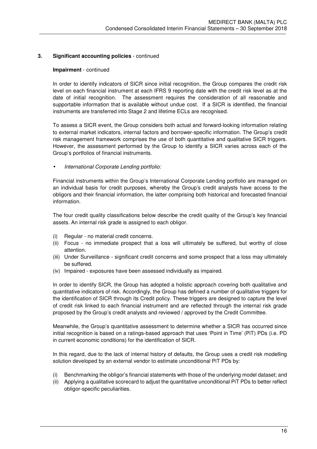#### **Impairment** - continued

In order to identify indicators of SICR since initial recognition, the Group compares the credit risk level on each financial instrument at each IFRS 9 reporting date with the credit risk level as at the date of initial recognition. The assessment requires the consideration of all reasonable and supportable information that is available without undue cost. If a SICR is identified, the financial instruments are transferred into Stage 2 and lifetime ECLs are recognised.

To assess a SICR event, the Group considers both actual and forward-looking information relating to external market indicators, internal factors and borrower-specific information. The Group's credit risk management framework comprises the use of both quantitative and qualitative SICR triggers. However, the assessment performed by the Group to identify a SICR varies across each of the Group's portfolios of financial instruments.

• *International Corporate Lending portfolio:* 

Financial instruments within the Group's International Corporate Lending portfolio are managed on an individual basis for credit purposes, whereby the Group's credit analysts have access to the obligors and their financial information, the latter comprising both historical and forecasted financial information.

The four credit quality classifications below describe the credit quality of the Group's key financial assets. An internal risk grade is assigned to each obligor.

- (i) Regular no material credit concerns.
- (ii) Focus no immediate prospect that a loss will ultimately be suffered, but worthy of close attention.
- (iii) Under Surveillance significant credit concerns and some prospect that a loss may ultimately be suffered.
- (iv) Impaired exposures have been assessed individually as impaired.

In order to identify SICR, the Group has adopted a holistic approach covering both qualitative and quantitative indicators of risk. Accordingly, the Group has defined a number of qualitative triggers for the identification of SICR through its Credit policy. These triggers are designed to capture the level of credit risk linked to each financial instrument and are reflected through the internal risk grade proposed by the Group's credit analysts and reviewed / approved by the Credit Committee.

Meanwhile, the Group's quantitative assessment to determine whether a SICR has occurred since initial recognition is based on a ratings-based approach that uses 'Point in Time' (PiT) PDs (i.e. PD in current economic conditions) for the identification of SICR.

In this regard, due to the lack of internal history of defaults, the Group uses a credit risk modelling solution developed by an external vendor to estimate unconditional PiT PDs by:

- (i) Benchmarking the obligor's financial statements with those of the underlying model dataset; and
- (ii) Applying a qualitative scorecard to adjust the quantitative unconditional PiT PDs to better reflect obligor-specific peculiarities.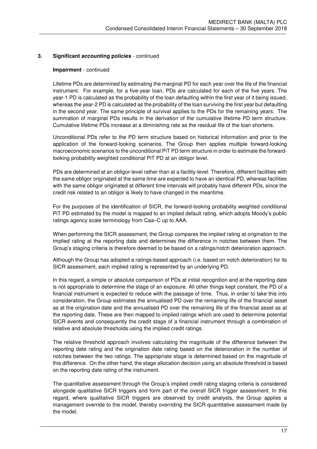#### **Impairment** - continued

Lifetime PDs are determined by estimating the marginal PD for each year over the life of the financial instrument. For example, for a five-year loan, PDs are calculated for each of the five years. The year-1 PD is calculated as the probability of the loan defaulting within the first year of it being issued, whereas the year-2 PD is calculated as the probability of the loan surviving the first year but defaulting in the second year. The same principle of survival applies to the PDs for the remaining years. The summation of marginal PDs results in the derivation of the cumulative lifetime PD term structure. Cumulative lifetime PDs increase at a diminishing rate as the residual life of the loan shortens.

Unconditional PDs refer to the PD term structure based on historical information and prior to the application of the forward-looking scenarios. The Group then applies multiple forward-looking macroeconomic scenarios to the unconditional PiT PD term structure in order to estimate the forwardlooking probability weighted conditional PiT PD at an obligor level.

PDs are determined at an obligor-level rather than at a facility-level. Therefore, different facilities with the same obligor originated at the same time are expected to have an identical PD, whereas facilities with the same obligor originated at different time intervals will probably have different PDs, since the credit risk related to an obligor is likely to have changed in the meantime.

For the purposes of the identification of SICR, the forward-looking probability weighted conditional PiT PD estimated by the model is mapped to an implied default rating, which adopts Moody's public ratings agency scale terminology from Caa–C up to AAA.

When performing the SICR assessment, the Group compares the implied rating at origination to the implied rating at the reporting date and determines the difference in notches between them. The Group's staging criteria is therefore deemed to be based on a ratings/notch deterioration approach.

Although the Group has adopted a ratings-based approach (i.e. based on notch deterioration) for its SICR assessment, each implied rating is represented by an underlying PD.

In this regard, a simple or absolute comparison of PDs at initial recognition and at the reporting date is not appropriate to determine the stage of an exposure. All other things kept constant, the PD of a financial instrument is expected to reduce with the passage of time. Thus, in order to take this into consideration, the Group estimates the annualised PD over the remaining life of the financial asset as at the origination date and the annualised PD over the remaining life of the financial asset as at the reporting date. These are then mapped to implied ratings which are used to determine potential SICR events and consequently the credit stage of a financial instrument through a combination of relative and absolute thresholds using the implied credit ratings.

The relative threshold approach involves calculating the magnitude of the difference between the reporting date rating and the origination date rating based on the deterioration in the number of notches between the two ratings. The appropriate stage is determined based on the magnitude of this difference. On the other hand, the stage allocation decision using an absolute threshold is based on the reporting date rating of the instrument.

The quantitative assessment through the Group's implied credit rating staging criteria is considered alongside qualitative SICR triggers and form part of the overall SICR trigger assessment. In this regard, where qualitative SICR triggers are observed by credit analysts, the Group applies a management override to the model, thereby overriding the SICR quantitative assessment made by the model.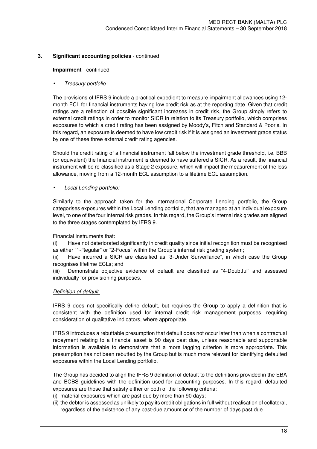### **Impairment** - continued

## • *Treasury portfolio:*

The provisions of IFRS 9 include a practical expedient to measure impairment allowances using 12 month ECL for financial instruments having low credit risk as at the reporting date. Given that credit ratings are a reflection of possible significant increases in credit risk, the Group simply refers to external credit ratings in order to monitor SICR in relation to its Treasury portfolio, which comprises exposures to which a credit rating has been assigned by Moody's, Fitch and Standard & Poor's. In this regard, an exposure is deemed to have low credit risk if it is assigned an investment grade status by one of these three external credit rating agencies.

Should the credit rating of a financial instrument fall below the investment grade threshold, i.e. BBB (or equivalent) the financial instrument is deemed to have suffered a SICR. As a result, the financial instrument will be re-classified as a Stage 2 exposure, which will impact the measurement of the loss allowance, moving from a 12-month ECL assumption to a lifetime ECL assumption.

### • *Local Lending portfolio:*

Similarly to the approach taken for the International Corporate Lending portfolio, the Group categorises exposures within the Local Lending portfolio, that are managed at an individual exposure level, to one of the four internal risk grades. In this regard, the Group's internal risk grades are aligned to the three stages contemplated by IFRS 9.

### Financial instruments that:

(i) Have not deteriorated significantly in credit quality since initial recognition must be recognised as either "1-Regular" or "2-Focus" within the Group's internal risk grading system;

(ii) Have incurred a SICR are classified as "3-Under Surveillance", in which case the Group recognises lifetime ECLs; and

(iii) Demonstrate objective evidence of default are classified as "4-Doubtful" and assessed individually for provisioning purposes.

### *Definition of default*

IFRS 9 does not specifically define default, but requires the Group to apply a definition that is consistent with the definition used for internal credit risk management purposes, requiring consideration of qualitative indicators, where appropriate.

IFRS 9 introduces a rebuttable presumption that default does not occur later than when a contractual repayment relating to a financial asset is 90 days past due, unless reasonable and supportable information is available to demonstrate that a more lagging criterion is more appropriate. This presumption has not been rebutted by the Group but is much more relevant for identifying defaulted exposures within the Local Lending portfolio.

The Group has decided to align the IFRS 9 definition of default to the definitions provided in the EBA and BCBS guidelines with the definition used for accounting purposes. In this regard, defaulted exposures are those that satisfy either or both of the following criteria:

- (i) material exposures which are past due by more than 90 days;
- (ii) the debtor is assessed as unlikely to pay its credit obligations in full without realisation of collateral, regardless of the existence of any past-due amount or of the number of days past due.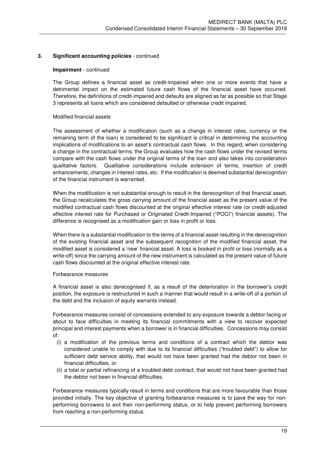#### **Impairment** - continued

The Group defines a financial asset as credit-impaired when one or more events that have a detrimental impact on the estimated future cash flows of the financial asset have occurred. Therefore, the definitions of credit-impaired and defaults are aligned as far as possible so that Stage 3 represents all loans which are considered defaulted or otherwise credit impaired.

#### Modified financial assets

The assessment of whether a modification (such as a change in interest rates, currency or the remaining term of the loan) is considered to be significant is critical in determining the accounting implications of modifications to an asset's contractual cash flows. In this regard, when considering a change in the contractual terms, the Group evaluates how the cash flows under the revised terms compare with the cash flows under the original terms of the loan and also takes into consideration qualitative factors. Qualitative considerations include extension of terms, insertion of credit enhancements, changes in interest rates, etc. If the modification is deemed substantial derecognition of the financial instrument is warranted.

When the modification is not substantial enough to result in the derecognition of that financial asset, the Group recalculates the gross carrying amount of the financial asset as the present value of the modified contractual cash flows discounted at the original effective interest rate (or credit-adjusted effective interest rate for Purchased or Originated Credit-Impaired ("POCI") financial assets). The difference is recognised as a modification gain or loss in profit or loss.

When there is a substantial modification to the terms of a financial asset resulting in the derecognition of the existing financial asset and the subsequent recognition of the modified financial asset, the modified asset is considered a 'new' financial asset. A loss is booked in profit or loss (normally as a write-off) since the carrying amount of the new instrument is calculated as the present value of future cash flows discounted at the original effective interest rate.

#### Forbearance measures

A financial asset is also derecognised if, as a result of the deterioration in the borrower's credit position, the exposure is restructured in such a manner that would result in a write-off of a portion of the debt and the inclusion of equity warrants instead.

Forbearance measures consist of concessions extended to any exposure towards a debtor facing or about to face difficulties in meeting its financial commitments with a view to recover expected principal and interest payments when a borrower is in financial difficulties. Concessions may consist of:

- (i) a modification of the previous terms and conditions of a contract which the debtor was considered unable to comply with due to its financial difficulties ("troubled debt") to allow for sufficient debt service ability, that would not have been granted had the debtor not been in financial difficulties, or
- (ii) a total or partial refinancing of a troubled debt contract, that would not have been granted had the debtor not been in financial difficulties.

Forbearance measures typically result in terms and conditions that are more favourable than those provided initially. The key objective of granting forbearance measures is to pave the way for nonperforming borrowers to exit their non-performing status, or to help prevent performing borrowers from reaching a non-performing status.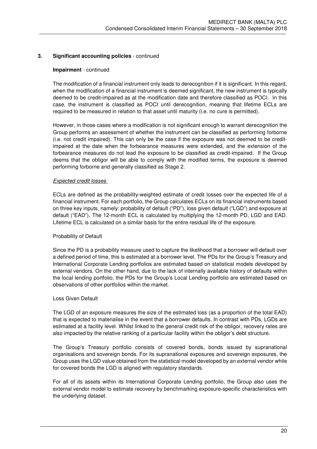#### **Impairment** - continued

The modification of a financial instrument only leads to derecognition if it is significant. In this regard, when the modification of a financial instrument is deemed significant, the new instrument is typically deemed to be credit-impaired as at the modification date and therefore classified as POCI. In this case, the instrument is classified as POCI until derecognition, meaning that lifetime ECLs are required to be measured in relation to that asset until maturity (i.e. no cure is permitted).

However, in those cases where a modification is not significant enough to warrant derecognition the Group performs an assessment of whether the instrument can be classified as performing forborne (i.e. not credit impaired). This can only be the case if the exposure was not deemed to be creditimpaired at the date when the forbearance measures were extended, and the extension of the forbearance measures do not lead the exposure to be classified as credit-impaired. If the Group deems that the obligor will be able to comply with the modified terms, the exposure is deemed performing forborne and generally classified as Stage 2.

#### *Expected credit losses*

ECLs are defined as the probability-weighted estimate of credit losses over the expected life of a financial instrument. For each portfolio, the Group calculates ECLs on its financial instruments based on three key inputs, namely: probability of default ("PD"), loss given default ("LGD") and exposure at default ("EAD"). The 12-month ECL is calculated by multiplying the 12-month PD, LGD and EAD. Lifetime ECL is calculated on a similar basis for the entire residual life of the exposure.

### Probability of Default

Since the PD is a probability measure used to capture the likelihood that a borrower will default over a defined period of time, this is estimated at a borrower level. The PDs for the Group's Treasury and International Corporate Lending portfolios are estimated based on statistical models developed by external vendors. On the other hand, due to the lack of internally available history of defaults within the local lending portfolio, the PDs for the Group's Local Lending portfolio are estimated based on observations of other portfolios within the market.

### Loss Given Default

The LGD of an exposure measures the size of the estimated loss (as a proportion of the total EAD) that is expected to materialise in the event that a borrower defaults. In contrast with PDs, LGDs are estimated at a facility level. Whilst linked to the general credit risk of the obligor, recovery rates are also impacted by the relative ranking of a particular facility within the obligor's debt structure.

The Group's Treasury portfolio consists of covered bonds, bonds issued by supranational organisations and sovereign bonds. For its supranational exposures and sovereign exposures, the Group uses the LGD value obtained from the statistical model developed by an external vendor while for covered bonds the LGD is aligned with regulatory standards.

For all of its assets within its International Corporate Lending portfolio, the Group also uses the external vendor model to estimate recovery by benchmarking exposure-specific characteristics with the underlying dataset.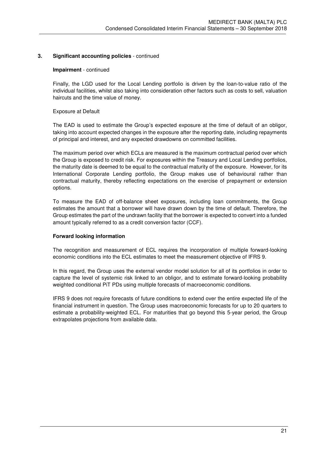#### **Impairment** - continued

Finally, the LGD used for the Local Lending portfolio is driven by the loan-to-value ratio of the individual facilities, whilst also taking into consideration other factors such as costs to sell, valuation haircuts and the time value of money.

## Exposure at Default

The EAD is used to estimate the Group's expected exposure at the time of default of an obligor, taking into account expected changes in the exposure after the reporting date, including repayments of principal and interest, and any expected drawdowns on committed facilities.

The maximum period over which ECLs are measured is the maximum contractual period over which the Group is exposed to credit risk. For exposures within the Treasury and Local Lending portfolios, the maturity date is deemed to be equal to the contractual maturity of the exposure. However, for its International Corporate Lending portfolio, the Group makes use of behavioural rather than contractual maturity, thereby reflecting expectations on the exercise of prepayment or extension options.

To measure the EAD of off-balance sheet exposures, including loan commitments, the Group estimates the amount that a borrower will have drawn down by the time of default. Therefore, the Group estimates the part of the undrawn facility that the borrower is expected to convert into a funded amount typically referred to as a credit conversion factor (CCF).

### **Forward looking information**

The recognition and measurement of ECL requires the incorporation of multiple forward-looking economic conditions into the ECL estimates to meet the measurement objective of IFRS 9.

In this regard, the Group uses the external vendor model solution for all of its portfolios in order to capture the level of systemic risk linked to an obligor, and to estimate forward-looking probability weighted conditional PiT PDs using multiple forecasts of macroeconomic conditions.

IFRS 9 does not require forecasts of future conditions to extend over the entire expected life of the financial instrument in question. The Group uses macroeconomic forecasts for up to 20 quarters to estimate a probability-weighted ECL. For maturities that go beyond this 5-year period, the Group extrapolates projections from available data.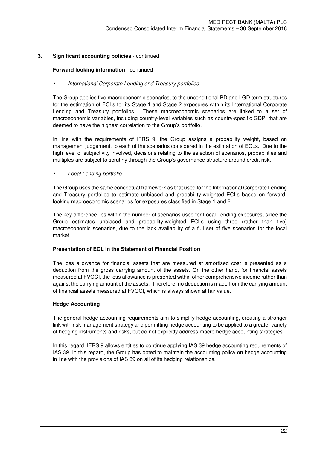### **Forward looking information** - continued

### • *International Corporate Lending and Treasury portfolios*

The Group applies five macroeconomic scenarios, to the unconditional PD and LGD term structures for the estimation of ECLs for its Stage 1 and Stage 2 exposures within its International Corporate Lending and Treasury portfolios. These macroeconomic scenarios are linked to a set of macroeconomic variables, including country-level variables such as country-specific GDP, that are deemed to have the highest correlation to the Group's portfolio.

In line with the requirements of IFRS 9, the Group assigns a probability weight, based on management judgement, to each of the scenarios considered in the estimation of ECLs. Due to the high level of subjectivity involved, decisions relating to the selection of scenarios, probabilities and multiples are subject to scrutiny through the Group's governance structure around credit risk.

### • *Local Lending portfolio*

The Group uses the same conceptual framework as that used for the International Corporate Lending and Treasury portfolios to estimate unbiased and probability-weighted ECLs based on forwardlooking macroeconomic scenarios for exposures classified in Stage 1 and 2.

The key difference lies within the number of scenarios used for Local Lending exposures, since the Group estimates unbiased and probability-weighted ECLs using three (rather than five) macroeconomic scenarios, due to the lack availability of a full set of five scenarios for the local market.

### **Presentation of ECL in the Statement of Financial Position**

The loss allowance for financial assets that are measured at amortised cost is presented as a deduction from the gross carrying amount of the assets. On the other hand, for financial assets measured at FVOCI, the loss allowance is presented within other comprehensive income rather than against the carrying amount of the assets. Therefore, no deduction is made from the carrying amount of financial assets measured at FVOCI, which is always shown at fair value.

### **Hedge Accounting**

The general hedge accounting requirements aim to simplify hedge accounting, creating a stronger link with risk management strategy and permitting hedge accounting to be applied to a greater variety of hedging instruments and risks, but do not explicitly address macro hedge accounting strategies.

In this regard, IFRS 9 allows entities to continue applying IAS 39 hedge accounting requirements of IAS 39. In this regard, the Group has opted to maintain the accounting policy on hedge accounting in line with the provisions of IAS 39 on all of its hedging relationships.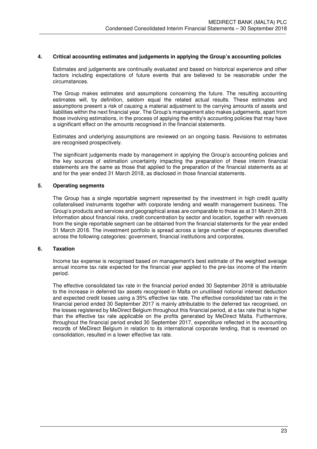#### **4. Critical accounting estimates and judgements in applying the Group's accounting policies**

 Estimates and judgements are continually evaluated and based on historical experience and other factors including expectations of future events that are believed to be reasonable under the circumstances.

 The Group makes estimates and assumptions concerning the future. The resulting accounting estimates will, by definition, seldom equal the related actual results. These estimates and assumptions present a risk of causing a material adjustment to the carrying amounts of assets and liabilities within the next financial year. The Group's management also makes judgements, apart from those involving estimations, in the process of applying the entity's accounting policies that may have a significant effect on the amounts recognised in the financial statements.

 Estimates and underlying assumptions are reviewed on an ongoing basis. Revisions to estimates are recognised prospectively.

 The significant judgements made by management in applying the Group's accounting policies and the key sources of estimation uncertainty impacting the preparation of these interim financial statements are the same as those that applied to the preparation of the financial statements as at and for the year ended 31 March 2018, as disclosed in those financial statements.

### **5. Operating segments**

The Group has a single reportable segment represented by the investment in high credit quality collateralised instruments together with corporate lending and wealth management business. The Group's products and services and geographical areas are comparable to those as at 31 March 2018. Information about financial risks, credit concentration by sector and location, together with revenues from the single reportable segment can be obtained from the financial statements for the year ended 31 March 2018. The investment portfolio is spread across a large number of exposures diversified across the following categories: government, financial institutions and corporates.

#### **6. Taxation**

Income tax expense is recognised based on management's best estimate of the weighted average annual income tax rate expected for the financial year applied to the pre-tax income of the interim period.

The effective consolidated tax rate in the financial period ended 30 September 2018 is attributable to the increase in deferred tax assets recognised in Malta on unutilised notional interest deduction and expected credit losses using a 35% effective tax rate. The effective consolidated tax rate in the financial period ended 30 September 2017 is mainly attributable to the deferred tax recognised, on the losses registered by MeDirect Belgium throughout this financial period, at a tax rate that is higher than the effective tax rate applicable on the profits generated by MeDirect Malta. Furthermore, throughout the financial period ended 30 September 2017, expenditure reflected in the accounting records of MeDirect Belgium in relation to its international corporate lending, that is reversed on consolidation, resulted in a lower effective tax rate.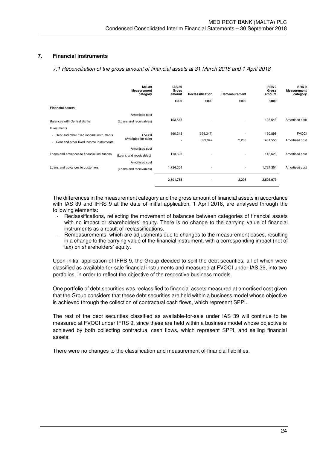## **7. Financial instruments**

*7.1 Reconciliation of the gross amount of financial assets at 31 March 2018 and 1 April 2018* 

|                                              | <b>IAS 39</b><br><b>Measurement</b><br>category | <b>IAS 39</b><br>Gross<br>amount | Reclassification | Remeasurement            | <b>IFRS 9</b><br><b>Gross</b><br>amount | <b>IFRS 9</b><br><b>Measurement</b><br>category |
|----------------------------------------------|-------------------------------------------------|----------------------------------|------------------|--------------------------|-----------------------------------------|-------------------------------------------------|
|                                              |                                                 | €000                             | €000             | €000                     | €000                                    |                                                 |
| <b>Financial assets</b>                      |                                                 |                                  |                  |                          |                                         |                                                 |
|                                              | Amortised cost                                  |                                  |                  |                          |                                         |                                                 |
| <b>Balances with Central Banks</b>           | (Loans and receivables)                         | 103,543                          |                  |                          | 103,543                                 | Amortised cost                                  |
| Investments                                  |                                                 |                                  |                  |                          |                                         |                                                 |
| - Debt and other fixed income instruments    | <b>FVOCI</b>                                    | 560,245                          | (399, 347)       |                          | 160,898                                 | <b>FVOCI</b>                                    |
| - Debt and other fixed income instruments    | (Available-for-sale)                            | $\overline{\phantom{a}}$         | 399,347          | 2,208                    | 401,555                                 | Amortised cost                                  |
|                                              | Amortised cost                                  |                                  |                  |                          |                                         |                                                 |
| Loans and advances to financial institutions | (Loans and receivables)                         | 113,623                          |                  | $\overline{\phantom{a}}$ | 113,623                                 | Amortised cost                                  |
|                                              | Amortised cost                                  |                                  |                  |                          |                                         |                                                 |
| Loans and advances to customers              | (Loans and receivables)                         | 1,724,354                        | ٠                | $\sim$                   | 1,724,354                               | Amortised cost                                  |
|                                              |                                                 | 2,501,765                        | ٠                | 2,208                    | 2,503,973                               |                                                 |

The differences in the measurement category and the gross amount of financial assets in accordance with IAS 39 and IFRS 9 at the date of initial application, 1 April 2018, are analysed through the following elements:

- Reclassifications, reflecting the movement of balances between categories of financial assets with no impact or shareholders' equity. There is no change to the carrying value of financial instruments as a result of reclassifications.
- Remeasurements, which are adjustments due to changes to the measurement bases, resulting in a change to the carrying value of the financial instrument, with a corresponding impact (net of tax) on shareholders' equity.

Upon initial application of IFRS 9, the Group decided to split the debt securities, all of which were classified as available-for-sale financial instruments and measured at FVOCI under IAS 39, into two portfolios, in order to reflect the objective of the respective business models.

One portfolio of debt securities was reclassified to financial assets measured at amortised cost given that the Group considers that these debt securities are held within a business model whose objective is achieved through the collection of contractual cash flows, which represent SPPI.

The rest of the debt securities classified as available-for-sale under IAS 39 will continue to be measured at FVOCI under IFRS 9, since these are held within a business model whose objective is achieved by both collecting contractual cash flows, which represent SPPI, and selling financial assets.

There were no changes to the classification and measurement of financial liabilities.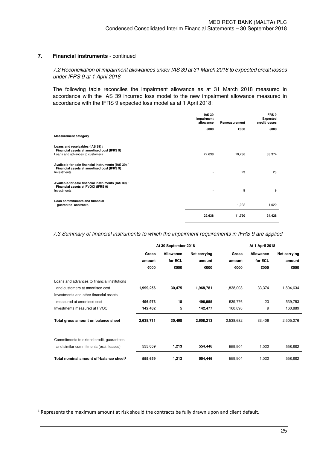## *7.2 Reconciliation of impairment allowances under IAS 39 at 31 March 2018 to expected credit losses under IFRS 9 at 1 April 2018*

 The following table reconciles the impairment allowance as at 31 March 2018 measured in accordance with the IAS 39 incurred loss model to the new impairment allowance measured in accordance with the IFRS 9 expected loss model as at 1 April 2018:

|                                                                                                                    | <b>IAS 39</b><br>Impairment<br>allowance | Remeasurement | IFRS 9<br><b>Expected</b><br>credit losses |
|--------------------------------------------------------------------------------------------------------------------|------------------------------------------|---------------|--------------------------------------------|
|                                                                                                                    | €000                                     | €000          | €000                                       |
| <b>Measurement category</b>                                                                                        |                                          |               |                                            |
| Loans and receivables (IAS 39) /<br>Financial assets at amortised cost (IFRS 9)<br>Loans and advances to customers | 22,638                                   | 10,736        | 33,374                                     |
| Available-for-sale financial instruments (IAS 39) /<br>Financial assets at amortised cost (IFRS 9)<br>Investments  |                                          | 23            | 23                                         |
| Available-for-sale financial instruments (IAS 39) /<br>Financial assets at FVOCI (IFRS 9)<br>Investments           |                                          | 9             | 9                                          |
| Loan commitments and financial<br>guarantee contracts                                                              |                                          | 1,022         | 1,022                                      |
|                                                                                                                    | 22,638                                   | 11,790        | 34.428                                     |

*7.3 Summary of financial instruments to which the impairment requirements in IFRS 9 are applied* 

|                                                     |              | At 30 September 2018 |              | <b>At 1 April 2018</b> |           |              |  |
|-----------------------------------------------------|--------------|----------------------|--------------|------------------------|-----------|--------------|--|
|                                                     | <b>Gross</b> | Allowance            | Net carrying | <b>Gross</b>           | Allowance | Net carrying |  |
|                                                     | amount       | for ECL              | amount       | amount                 | for ECL   | amount       |  |
|                                                     | €000         | €000                 | €000         | €000                   | €000      | €000         |  |
| Loans and advances to financial institutions        |              |                      |              |                        |           |              |  |
| and customers at amortised cost                     | 1,999,256    | 30,475               | 1,968,781    | 1,838,008              | 33,374    | 1,804,634    |  |
| Investments and other financial assets              |              |                      |              |                        |           |              |  |
| measured at amortised cost                          | 496,973      | 18                   | 496,955      | 539,776                | 23        | 539,753      |  |
| Investments measured at FVOCI                       | 142,482      | 5                    | 142,477      | 160,898                | 9         | 160,889      |  |
| Total gross amount on balance sheet                 | 2,638,711    | 30,498               | 2,608,213    | 2,538,682              | 33,406    | 2,505,276    |  |
|                                                     |              |                      |              |                        |           |              |  |
| Commitments to extend credit, guarantees,           |              |                      |              |                        |           |              |  |
| and similar commitments (excl. leases)              | 555,659      | 1,213                | 554,446      | 559,904                | 1,022     | 558,882      |  |
| Total nominal amount off-balance sheet <sup>1</sup> | 555,659      | 1,213                | 554,446      | 559,904                | 1,022     | 558,882      |  |

l

 $<sup>1</sup>$  Represents the maximum amount at risk should the contracts be fully drawn upon and client default.</sup>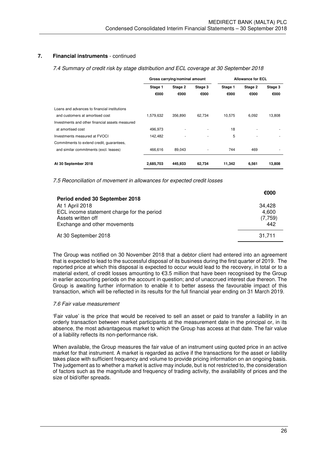*7.4 Summary of credit risk by stage distribution and ECL coverage at 30 September 2018* 

|                                                 |           | Gross carrying/nominal amount |                          | <b>Allowance for ECL</b> |         |         |  |
|-------------------------------------------------|-----------|-------------------------------|--------------------------|--------------------------|---------|---------|--|
|                                                 | Stage 1   | Stage 2<br>Stage 3            |                          | Stage 1                  | Stage 2 | Stage 3 |  |
|                                                 | €000      | €000                          | €000                     | €000                     | €000    | €000    |  |
| Loans and advances to financial institutions    |           |                               |                          |                          |         |         |  |
| and customers at amortised cost                 | 1.579.632 | 356.890                       | 62.734                   | 10,575                   | 6,092   | 13,808  |  |
| Investments and other financial assets measured |           |                               |                          |                          |         |         |  |
| at amortised cost                               | 496,973   |                               |                          | 18                       |         |         |  |
| Investments measured at FVOCI                   | 142,482   |                               | $\overline{\phantom{a}}$ | 5                        |         |         |  |
| Commitments to extend credit, quarantees,       |           |                               |                          |                          |         |         |  |
| and similar commitments (excl. leases)          | 466,616   | 89,043                        | ٠                        | 744                      | 469     |         |  |
| At 30 September 2018                            | 2,685,703 | 445,933                       | 62,734                   | 11,342                   | 6,561   | 13,808  |  |

*7.5 Reconciliation of movement in allowances for expected credit losses* 

| Period ended 30 September 2018                                                                                      | €000                              |
|---------------------------------------------------------------------------------------------------------------------|-----------------------------------|
| At 1 April 2018<br>ECL income statement charge for the period<br>Assets written off<br>Exchange and other movements | 34.428<br>4,600<br>(7,759)<br>442 |
| At 30 September 2018                                                                                                | 31,711                            |

The Group was notified on 30 November 2018 that a debtor client had entered into an agreement that is expected to lead to the successful disposal of its business during the first quarter of 2019. The reported price at which this disposal is expected to occur would lead to the recovery, in total or to a material extent, of credit losses amounting to €3.5 million that have been recognised by the Group in earlier accounting periods on the account in question; and of unaccrued interest due thereon. The Group is awaiting further information to enable it to better assess the favourable impact of this transaction, which will be reflected in its results for the full financial year ending on 31 March 2019.

### *7.6 Fair value measurement*

'Fair value' is the price that would be received to sell an asset or paid to transfer a liability in an orderly transaction between market participants at the measurement date in the principal or, in its absence, the most advantageous market to which the Group has access at that date. The fair value of a liability reflects its non-performance risk.

When available, the Group measures the fair value of an instrument using quoted price in an active market for that instrument. A market is regarded as active if the transactions for the asset or liability takes place with sufficient frequency and volume to provide pricing information on an ongoing basis. The judgement as to whether a market is active may include, but is not restricted to, the consideration of factors such as the magnitude and frequency of trading activity, the availability of prices and the size of bid/offer spreads.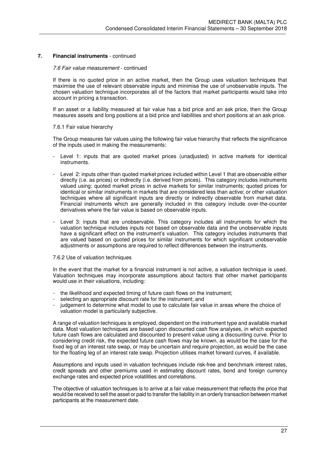### *7.6 Fair value measurement* - continued

If there is no quoted price in an active market, then the Group uses valuation techniques that maximise the use of relevant observable inputs and minimise the use of unobservable inputs. The chosen valuation technique incorporates all of the factors that market participants would take into account in pricing a transaction.

If an asset or a liability measured at fair value has a bid price and an ask price, then the Group measures assets and long positions at a bid price and liabilities and short positions at an ask price.

#### 7.6.1 Fair value hierarchy

The Group measures fair values using the following fair value hierarchy that reflects the significance of the inputs used in making the measurements:

- Level 1: inputs that are quoted market prices (unadjusted) in active markets for identical instruments.
- Level 2: inputs other than quoted market prices included within Level 1 that are observable either directly (i.e. as prices) or indirectly (i.e. derived from prices). This category includes instruments valued using: quoted market prices in active markets for similar instruments; quoted prices for identical or similar instruments in markets that are considered less than active; or other valuation techniques where all significant inputs are directly or indirectly observable from market data. Financial instruments which are generally included in this category include over-the-counter derivatives where the fair value is based on observable inputs.
- Level 3: inputs that are unobservable. This category includes all instruments for which the valuation technique includes inputs not based on observable data and the unobservable inputs have a significant effect on the instrument's valuation. This category includes instruments that are valued based on quoted prices for similar instruments for which significant unobservable adjustments or assumptions are required to reflect differences between the instruments.

#### 7.6.2 Use of valuation techniques

In the event that the market for a financial instrument is not active, a valuation technique is used. Valuation techniques may incorporate assumptions about factors that other market participants would use in their valuations, including:

- the likelihood and expected timing of future cash flows on the instrument;
- selecting an appropriate discount rate for the instrument; and
- judgement to determine what model to use to calculate fair value in areas where the choice of valuation model is particularly subjective.

A range of valuation techniques is employed, dependent on the instrument type and available market data. Most valuation techniques are based upon discounted cash flow analyses, in which expected future cash flows are calculated and discounted to present value using a discounting curve. Prior to considering credit risk, the expected future cash flows may be known, as would be the case for the fixed leg of an interest rate swap, or may be uncertain and require projection, as would be the case for the floating leg of an interest rate swap. Projection utilises market forward curves, if available.

Assumptions and inputs used in valuation techniques include risk-free and benchmark interest rates, credit spreads and other premiums used in estimating discount rates, bond and foreign currency exchange rates and expected price volatilities and correlations.

The objective of valuation techniques is to arrive at a fair value measurement that reflects the price that would be received to sell the asset or paid to transfer the liability in an orderly transaction between market participants at the measurement date.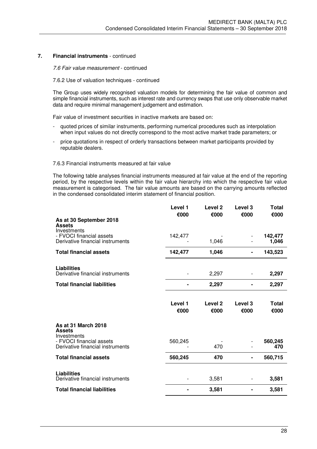*7.6 Fair value measurement* - continued

#### 7.6.2 Use of valuation techniques - continued

The Group uses widely recognised valuation models for determining the fair value of common and simple financial instruments, such as interest rate and currency swaps that use only observable market data and require minimal management judgement and estimation.

Fair value of investment securities in inactive markets are based on:

- quoted prices of similar instruments, performing numerical procedures such as interpolation when input values do not directly correspond to the most active market trade parameters; or
- price quotations in respect of orderly transactions between market participants provided by reputable dealers.

#### 7.6.3 Financial instruments measured at fair value

The following table analyses financial instruments measured at fair value at the end of the reporting period, by the respective levels within the fair value hierarchy into which the respective fair value measurement is categorised. The fair value amounts are based on the carrying amounts reflected in the condensed consolidated interim statement of financial position.

|                                                              | Level 1         | Level <sub>2</sub> | Level <sub>3</sub>         | Total                |
|--------------------------------------------------------------|-----------------|--------------------|----------------------------|----------------------|
| As at 30 September 2018<br><b>Assets</b><br>Investments      | €000            | €000               | €000                       | €000                 |
| - FVOCI financial assets<br>Derivative financial instruments | 142,477         | 1,046              |                            | 142,477<br>1,046     |
| <b>Total financial assets</b>                                | 142,477         | 1,046              |                            | 143,523              |
| <b>Liabilities</b><br>Derivative financial instruments       |                 | 2,297              |                            | 2,297                |
| <b>Total financial liabilities</b>                           |                 | 2,297              |                            | 2,297                |
|                                                              | Level 1<br>€000 | Level 2<br>€000    | Level <sub>3</sub><br>€000 | <b>Total</b><br>€000 |
| As at 31 March 2018<br><b>Assets</b><br>Investments          |                 |                    |                            |                      |
| - FVOCI financial assets<br>Derivative financial instruments | 560,245         | 470                |                            | 560,245<br>470       |
| <b>Total financial assets</b>                                | 560,245         | 470                |                            | 560,715              |
| <b>Liabilities</b><br>Derivative financial instruments       |                 | 3,581              |                            | 3,581                |
| <b>Total financial liabilities</b>                           |                 | 3,581              |                            | 3,581                |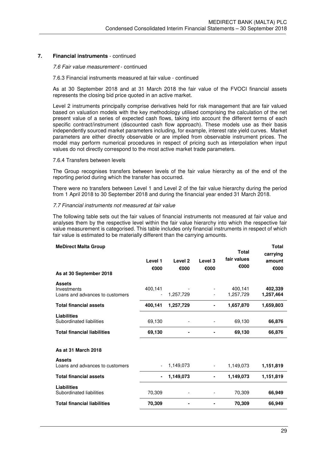#### *7.6 Fair value measurement* - continued

#### 7.6.3 Financial instruments measured at fair value - continued

As at 30 September 2018 and at 31 March 2018 the fair value of the FVOCI financial assets represents the closing bid price quoted in an active market.

Level 2 instruments principally comprise derivatives held for risk management that are fair valued based on valuation models with the key methodology utilised comprising the calculation of the net present value of a series of expected cash flows, taking into account the different terms of each specific contract/instrument (discounted cash flow approach). These models use as their basis independently sourced market parameters including, for example, interest rate yield curves. Market parameters are either directly observable or are implied from observable instrument prices. The model may perform numerical procedures in respect of pricing such as interpolation when input values do not directly correspond to the most active market trade parameters.

#### 7.6.4 Transfers between levels

The Group recognises transfers between levels of the fair value hierarchy as of the end of the reporting period during which the transfer has occurred.

There were no transfers between Level 1 and Level 2 of the fair value hierarchy during the period from 1 April 2018 to 30 September 2018 and during the financial year ended 31 March 2018.

#### *7.7 Financial instruments not measured at fair value*

The following table sets out the fair values of financial instruments not measured at fair value and analyses them by the respective level within the fair value hierarchy into which the respective fair value measurement is categorised. This table includes only financial instruments in respect of which fair value is estimated to be materially different than the carrying amounts.

| Level 1<br>€000 | Level 2<br>€000 | Level 3<br>€000          | <b>Total</b><br>fair values<br>€000 | <b>Total</b><br>carrying<br>amount<br>€000 |
|-----------------|-----------------|--------------------------|-------------------------------------|--------------------------------------------|
| 400,141         | 1,257,729       |                          | 400,141<br>1,257,729                | 402,339<br>1,257,464                       |
| 400,141         | 1,257,729       |                          | 1,657,870                           | 1,659,803                                  |
| 69,130          |                 |                          | 69,130                              | 66,876                                     |
| 69,130          |                 |                          | 69,130                              | 66,876                                     |
|                 |                 |                          |                                     |                                            |
|                 | 1,149,073       | $\overline{\phantom{a}}$ | 1,149,073                           | 1,151,819                                  |
| ۰               | 1,149,073       |                          | 1,149,073                           | 1,151,819                                  |
| 70,309          |                 |                          | 70,309                              | 66,949                                     |
| 70,309          |                 |                          | 70,309                              | 66,949                                     |
|                 |                 |                          |                                     |                                            |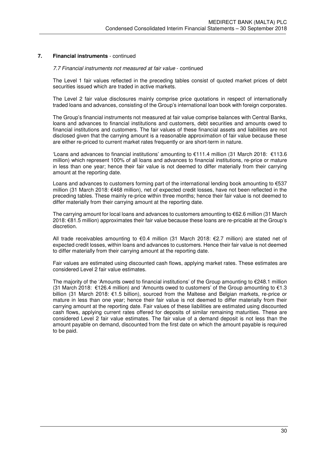#### *7.7 Financial instruments not measured at fair value* - continued

The Level 1 fair values reflected in the preceding tables consist of quoted market prices of debt securities issued which are traded in active markets.

The Level 2 fair value disclosures mainly comprise price quotations in respect of internationally traded loans and advances, consisting of the Group's international loan book with foreign corporates.

The Group's financial instruments not measured at fair value comprise balances with Central Banks, loans and advances to financial institutions and customers, debt securities and amounts owed to financial institutions and customers. The fair values of these financial assets and liabilities are not disclosed given that the carrying amount is a reasonable approximation of fair value because these are either re-priced to current market rates frequently or are short-term in nature.

'Loans and advances to financial institutions' amounting to €111.4 million (31 March 2018: €113.6 million) which represent 100% of all loans and advances to financial institutions, re-price or mature in less than one year; hence their fair value is not deemed to differ materially from their carrying amount at the reporting date.

Loans and advances to customers forming part of the international lending book amounting to  $€537$ million (31 March 2018: €468 million), net of expected credit losses, have not been reflected in the preceding tables. These mainly re-price within three months; hence their fair value is not deemed to differ materially from their carrying amount at the reporting date.

The carrying amount for local loans and advances to customers amounting to €62.6 million (31 March 2018: €81.5 million) approximates their fair value because these loans are re-pricable at the Group's discretion.

All trade receivables amounting to €0.4 million (31 March 2018: €2.7 million) are stated net of expected credit losses, within loans and advances to customers. Hence their fair value is not deemed to differ materially from their carrying amount at the reporting date.

Fair values are estimated using discounted cash flows, applying market rates. These estimates are considered Level 2 fair value estimates.

The majority of the 'Amounts owed to financial institutions' of the Group amounting to  $\epsilon$ 248.1 million (31 March 2018: €126.4 million) and 'Amounts owed to customers' of the Group amounting to  $€1.3$ billion (31 March 2018: €1.5 billion), sourced from the Maltese and Belgian markets, re-price or mature in less than one year; hence their fair value is not deemed to differ materially from their carrying amount at the reporting date. Fair values of these liabilities are estimated using discounted cash flows, applying current rates offered for deposits of similar remaining maturities. These are considered Level 2 fair value estimates. The fair value of a demand deposit is not less than the amount payable on demand, discounted from the first date on which the amount payable is required to be paid.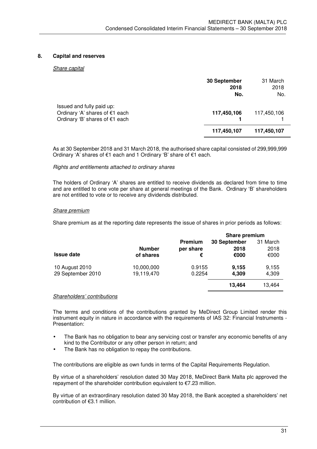#### **8. Capital and reserves**

#### *Share capital*

|                                                                                               | 30 September<br>2018<br>No. | 31 March<br>2018<br>No. |
|-----------------------------------------------------------------------------------------------|-----------------------------|-------------------------|
| Issued and fully paid up:<br>Ordinary 'A' shares of €1 each<br>Ordinary 'B' shares of €1 each | 117,450,106                 | 117,450,106             |
|                                                                                               | 117,450,107                 | 117,450,107             |

 As at 30 September 2018 and 31 March 2018, the authorised share capital consisted of 299,999,999 Ordinary 'A' shares of €1 each and 1 Ordinary 'B' share of €1 each.

#### *Rights and entitlements attached to ordinary shares*

The holders of Ordinary 'A' shares are entitled to receive dividends as declared from time to time and are entitled to one vote per share at general meetings of the Bank. Ordinary 'B' shareholders are not entitled to vote or to receive any dividends distributed.

#### *Share premium*

Share premium as at the reporting date represents the issue of shares in prior periods as follows:

|                   |               |                | Share premium |          |
|-------------------|---------------|----------------|---------------|----------|
|                   |               | <b>Premium</b> | 30 September  | 31 March |
|                   | <b>Number</b> | per share      | 2018          | 2018     |
| <b>Issue date</b> | of shares     | €              | €000          | €000     |
| 10 August 2010    | 10,000,000    | 0.9155         | 9,155         | 9,155    |
| 29 September 2010 | 19,119,470    | 0.2254         | 4,309         | 4,309    |
|                   |               |                | 13,464        | 13,464   |
|                   |               |                |               |          |

#### *Shareholders' contributions*

The terms and conditions of the contributions granted by MeDirect Group Limited render this instrument equity in nature in accordance with the requirements of IAS 32: Financial Instruments - Presentation:

- The Bank has no obligation to bear any servicing cost or transfer any economic benefits of any kind to the Contributor or any other person in return; and
- The Bank has no obligation to repay the contributions.

The contributions are eligible as own funds in terms of the Capital Requirements Regulation.

By virtue of a shareholders' resolution dated 30 May 2018, MeDirect Bank Malta plc approved the repayment of the shareholder contribution equivalent to €7.23 million.

By virtue of an extraordinary resolution dated 30 May 2018, the Bank accepted a shareholders' net contribution of €3.1 million.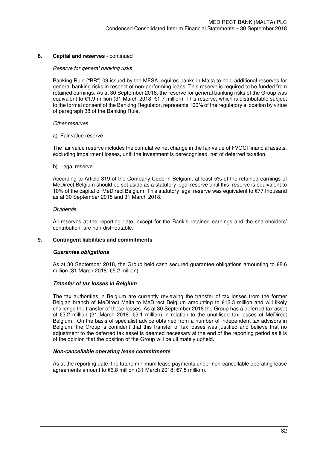#### **8. Capital and reserves** - continued

#### *Reserve for general banking risks*

Banking Rule ("BR") 09 issued by the MFSA requires banks in Malta to hold additional reserves for general banking risks in respect of non-performing loans. This reserve is required to be funded from retained earnings. As at 30 September 2018, the reserve for general banking risks of the Group was equivalent to €1.9 million (31 March 2018: €1.7 million). This reserve, which is distributable subject to the formal consent of the Banking Regulator, represents 100% of the regulatory allocation by virtue of paragraph 38 of the Banking Rule.

#### *Other reserves*

a) Fair value reserve

The fair value reserve includes the cumulative net change in the fair value of FVOCI financial assets, excluding impairment losses, until the investment is derecognised, net of deferred taxation.

#### b) Legal reserve

According to Article 319 of the Company Code in Belgium, at least 5% of the retained earnings of MeDirect Belgium should be set aside as a statutory legal reserve until this reserve is equivalent to 10% of the capital of MeDirect Belgium. This statutory legal reserve was equivalent to €77 thousand as at 30 September 2018 and 31 March 2018.

#### *Dividends*

All reserves at the reporting date, except for the Bank's retained earnings and the shareholders' contribution, are non-distributable.

#### **9. Contingent liabilities and commitments**

#### **Guarantee obligations**

As at 30 September 2018, the Group held cash secured guarantee obligations amounting to €8.6 million (31 March 2018: €5.2 million).

#### **Transfer of tax losses in Belgium**

The tax authorities in Belgium are currently reviewing the transfer of tax losses from the former Belgian branch of MeDirect Malta to MeDirect Belgium amounting to €12.3 million and will likely challenge the transfer of these losses. As at 30 September 2018 the Group has a deferred tax asset of €3.2 million (31 March 2018: €3.1 million) in relation to the unutilised tax losses of MeDirect Belgium. On the basis of specialist advice obtained from a number of independent tax advisors in Belgium, the Group is confident that this transfer of tax losses was justified and believe that no adjustment to the deferred tax asset is deemed necessary at the end of the reporting period as it is of the opinion that the position of the Group will be ultimately upheld.

#### **Non-cancellable operating lease commitments**

As at the reporting date, the future minimum lease payments under non-cancellable operating lease agreements amount to €6.8 million (31 March 2018: €7.5 million).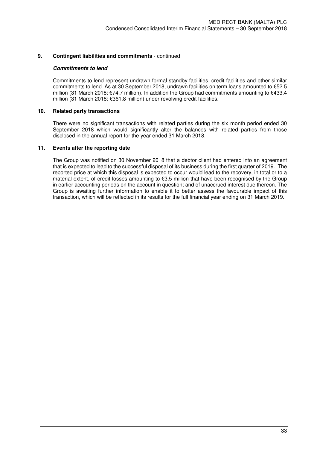### **9. Contingent liabilities and commitments** - continued

### **Commitments to lend**

Commitments to lend represent undrawn formal standby facilities, credit facilities and other similar commitments to lend. As at 30 September 2018, undrawn facilities on term loans amounted to €52.5 million (31 March 2018: €74.7 million). In addition the Group had commitments amounting to €433.4 million (31 March 2018: €361.8 million) under revolving credit facilities.

#### **10. Related party transactions**

There were no significant transactions with related parties during the six month period ended 30 September 2018 which would significantly alter the balances with related parties from those disclosed in the annual report for the year ended 31 March 2018.

### **11. Events after the reporting date**

The Group was notified on 30 November 2018 that a debtor client had entered into an agreement that is expected to lead to the successful disposal of its business during the first quarter of 2019. The reported price at which this disposal is expected to occur would lead to the recovery, in total or to a material extent, of credit losses amounting to €3.5 million that have been recognised by the Group in earlier accounting periods on the account in question; and of unaccrued interest due thereon. The Group is awaiting further information to enable it to better assess the favourable impact of this transaction, which will be reflected in its results for the full financial year ending on 31 March 2019.